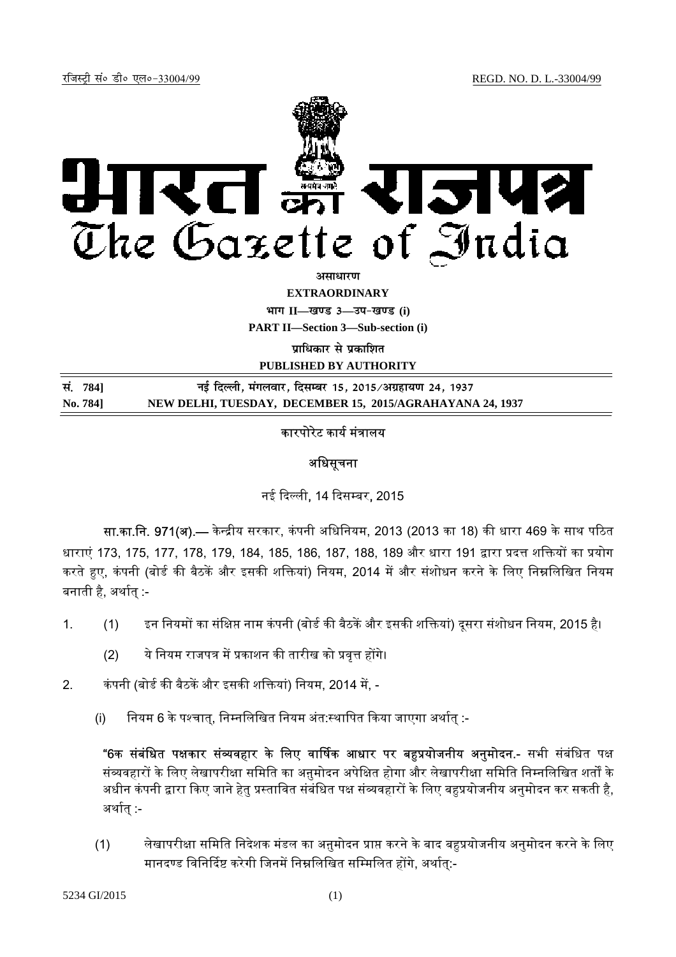

*<u>amanum</u>* 

**EXTRAORDINARY**

 $4$ **HI**<sup>T</sup> II—<br>*E*  $3$ —34-<br>*B*  $\frac{1}{2}$  (i)

**PART II—Section 3—Sub-section (i)** 

**<u>uाधिकार से प्रकाशित</u>** 

**PUBLISHED BY AUTHORITY**

| सं. 7841 | नई दिल्ली, मंगलवार, दिसम्बर 15, 2015/अग्रहायण 24, 1937    |
|----------|-----------------------------------------------------------|
| No. 784] | NEW DELHI, TUESDAY, DECEMBER 15, 2015/AGRAHAYANA 24, 1937 |

## कारपोरेट कार्य मंत्रालय

## अधिसूचना

नई दिल्ली, 14 दिसम्बर, 2015

सा.का.नि. 971(अ).— केन्द्रीय सरकार, कंपनी अधिनियम, 2013 (2013 का 18) की धारा 469 के साथ पठित धाराएं 173, 175, 177, 178, 179, 184, 185, 186, 187, 188, 189 और धारा 191 द्वारा प्रदत्त शक्तियों का प्रयोग करते हुए, कंपनी (बोर्ड की बैठकें और इसकी शक्तियां) नियम, 2014 में और संशोधन करने के लिए निम्नलिखित नियम बनाती है. अर्थात :-

- 1. (1) इन नियमों का संक्षिप्त नाम कंपनी (बोर्ड की बैठकें और इसकी शक्तियां) दूसरा संशोधन नियम, 2015 है।
	- (2) ये नियम राजपत्र में प्रकाशन की तारीख को प्रवृत्त होंगे।
- 2. कंपनी (बोर्ड की बैठकें और इसकी शक्तियां) नियम, 2014 में, -
	- <u>(i) ि</u>नियम 6 के पश्चात, निम्नलिखित नियम अंत:स्थापित किया जाएगा अर्थात :-

<mark>"6क संबंधित पक्षकार संव्यवहार के लिए वार्षिक आधार पर बहप्रयोजनीय अनुमोदन.-</mark> सभी संबंधित पक्ष संव्यवहारों के लिए लेखापरीक्षा समिति का अनुमोदन अपेक्षित होगा और लेखापरीक्षा समिति निम्नलिखित शर्तों के अधीन कंपनी द्वारा किए जाने हेतु प्रस्तावित संबंधित पक्ष संव्यवहारों के लिए बहुप्रयोजनीय अनुमोदन कर सकती है, अर्थात :-

(1) लेखापरीक्षा समिति निदेशक मंडल का अनुमोदन प्राप्त करने के बाद बहुप्रयोजनीय अनुमोदन करने के लिए मानदण्ड विनिर्दिष्ट करेगी जिनमें निम्नलिखित सम्मिलित होंगे, अर्थात्:-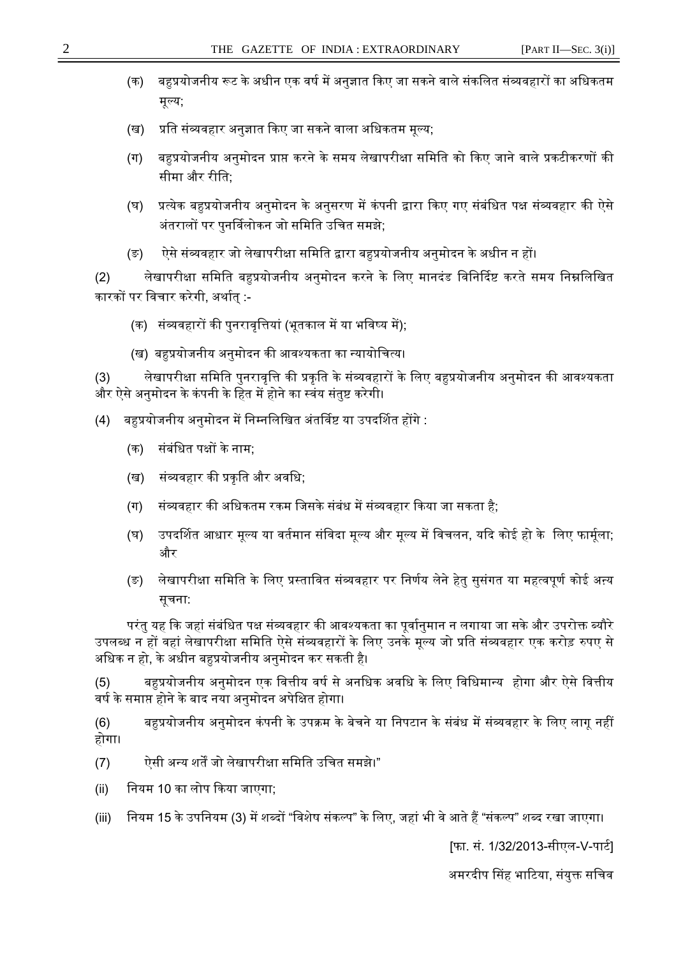- (क) बहप्रयोजनीय रूट के अधीन एक वर्ष में अनुज्ञात किए जा सकने वाले संकलित संव्यवहारों का अधिकतम मूल्य;
- (ख) प्रति संव्यवहार अनुज्ञात किए जा सकने वाला अधिकतम मूल्य;
- (ग) बहप्रयोजनीय अनुमोदन प्राप्त करने के समय लेखापरीक्षा समिति को किए जाने वाले प्रकटीकरणों की सीमा और रीति:
- (घ) प्रत्येक बहुप्रयोजनीय अनुमोदन के अनुसरण में कंपनी द्वारा किए गए संबंधित पक्ष संव्यवहार की ऐसे अंतरालों पर पुनर्विलोकन जो समिति उचित समझे;
- (ङ) ऐसे संव्यवहार जो लेखापरीक्षा समिति द्वारा बहुप्रयोजनीय अनुमोदन के अधीन न हों।

(2) लेखापरीक्षा समिति बहुप्रयोजनीय अनुमोदन करने के लिए मानदंड विनिर्दिष्ट करते समय निम्नलिखित कारकों पर विचार करेगी. अर्थात :-

- (क) संव्यवहारों की पुनरावृत्तियां (भूतकाल में या भविष्य में);
- (ख) बहुप्रयोजनीय अनुमोदन की आवश्यकता का न्यायोचित्य।

(3) लेखापरीक्षा समिति पुनरावृत्ति की प्रकृति के संव्यवहारों के लिए बहुप्रयोजनीय अनुमोदन की आवश्यकता और ऐसे अनुमोदन के कंपनी के हित में होने का स्वंय संतुष्ट करेगी।

- (4) बहप्रयोजनीय अनमोदन में निम्नलिखित अंतर्विष्ट या उपदर्शित होंगे :
	- (क) संबंधित पक्षों के नाम;
	- (ख) संव्यवहार की प्रकृति और अवधि;
	- (ग) संव्यवहार की अधिकतम रकम जिसके संबंध में संव्यवहार किया जा सकता है:
	- (घ) उपदर्शित आधार मूल्य या वर्तमान संविदा मूल्य और मूल्य में विचलन, यदि कोई हो के लिए फार्मूला; और
	- (ङ) लेखापरीक्षा समिति के लिए प्रस्तावित संव्यवहार पर निर्णय लेने हेतु सुसंगत या महत्वपूर्ण कोई अन्य सूचना:

परंतु यह कि जहां संबंधित पक्ष संव्यवहार की आवश्यकता का पूर्वानुमान न लगाया जा सके और उपरोक्त ब्यौरे उपलब्ध न हों वहां लेखापरीक्षा समिति ऐसे संव्यवहारों के लिए उनके मूल्य जो प्रति संव्यवहार एक करोड़ रुपए से अधिक न हो, के अधीन बहुप्रयोजनीय अनुमोदन कर सकती है।

(5) बहुप्रयोजनीय अनुमोदन एक वित्तीय वर्ष से अनधिक अवधि के लिए विधिमान्य होगा और ऐसे वित्तीय वर्ष के समाप्त होने के बाद नया अनुमोदन अपेक्षित होगा।

(6) बहुप्रयोजनीय अनुमोदन कंपनी के उपक्रम के बेचने या निपटान के संबंध में संव्यवहार के लिए लागू नहीं होगा।

- (7) ऐसी अन्य शर्तें जो लेखापरीक्षा समिति उचित समझे।"
- (ii) िनयम 10 का लोप ᳰकया जाएगा;
- (iii) नियम 15 के उपनियम (3) में शब्दों "विशेष संकल्प" के लिए, जहां भी वे आते हैं "संकल्प" शब्द रखा जाएगा।

[फा. सं. 1/32/2013-सीएल-V-पार्ट]

अमरदीप सिंह भाटिया, संयुक्त सचिव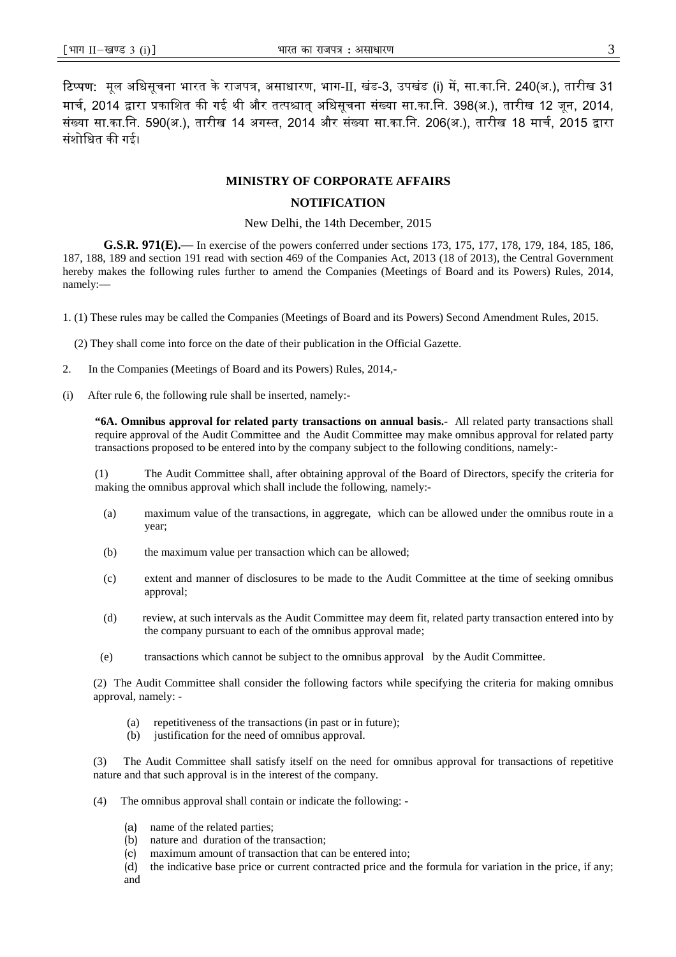**टिप्पण:** मूल अधिसूचना भारत के राजपत्र, असाधारण, भाग-II, खंड-3, उपखंड (i) में, सा.का.नि. 240(अ.), तारीख 31 मार्च, 2014 द्वारा प्रकाशित की गई थी और तत्पश्चात अधिसूचना संख्या सा.का.नि. 398(अ.), तारीख 12 जून, 2014, संख्या सा.का.नि. 590(अ.), तारीख 14 अगस्त, 2014 और संख्या सा.का.नि. 206(अ.), तारीख 18 मार्च, 2015 द्वारा संशोधित की गई।

## **MINISTRY OF CORPORATE AFFAIRS**

## **NOTIFICATION**

New Delhi, the 14th December, 2015

**G.S.R. 971(E).—** In exercise of the powers conferred under sections 173, 175, 177, 178, 179, 184, 185, 186, 187, 188, 189 and section 191 read with section 469 of the Companies Act, 2013 (18 of 2013), the Central Government hereby makes the following rules further to amend the Companies (Meetings of Board and its Powers) Rules, 2014, namely:—

1. (1) These rules may be called the Companies (Meetings of Board and its Powers) Second Amendment Rules, 2015.

(2) They shall come into force on the date of their publication in the Official Gazette.

- 2. In the Companies (Meetings of Board and its Powers) Rules, 2014,-
- (i) After rule 6, the following rule shall be inserted, namely:-

**"6A. Omnibus approval for related party transactions on annual basis.-** All related party transactions shall require approval of the Audit Committee and the Audit Committee may make omnibus approval for related party transactions proposed to be entered into by the company subject to the following conditions, namely:-

(1) The Audit Committee shall, after obtaining approval of the Board of Directors, specify the criteria for making the omnibus approval which shall include the following, namely:-

- (a) maximum value of the transactions, in aggregate, which can be allowed under the omnibus route in a year;
- (b) the maximum value per transaction which can be allowed;
- (c) extent and manner of disclosures to be made to the Audit Committee at the time of seeking omnibus approval;
- (d) review, at such intervals as the Audit Committee may deem fit, related party transaction entered into by the company pursuant to each of the omnibus approval made;
- (e) transactions which cannot be subject to the omnibus approval by the Audit Committee.

(2) The Audit Committee shall consider the following factors while specifying the criteria for making omnibus approval, namely: -

- (a) repetitiveness of the transactions (in past or in future);
- (b) justification for the need of omnibus approval.

(3) The Audit Committee shall satisfy itself on the need for omnibus approval for transactions of repetitive nature and that such approval is in the interest of the company.

- (4) The omnibus approval shall contain or indicate the following:
	- (a) name of the related parties;<br>(b) nature and duration of the 1
	- nature and duration of the transaction;
	- (c) maximum amount of transaction that can be entered into;
	- (d) the indicative base price or current contracted price and the formula for variation in the price, if any; and